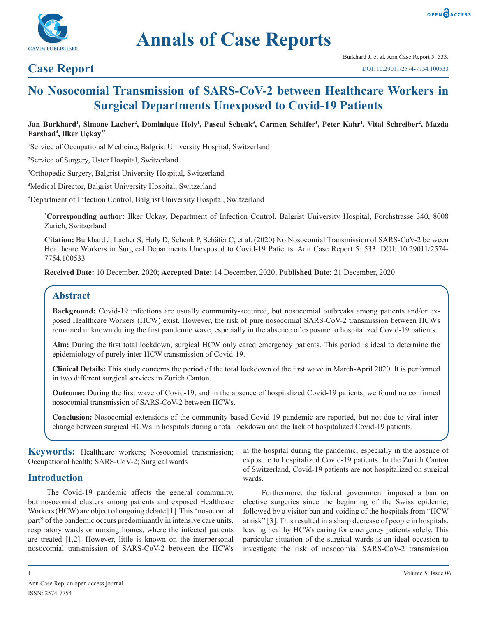



# **Annals of Case Reports**

# **Case Report**

# **No Nosocomial Transmission of SARS-CoV-2 between Healthcare Workers in Surgical Departments Unexposed to Covid-19 Patients**

#### Jan Burkhard<sup>ı</sup>, Simone Lacher<sup>2</sup>, Dominique Holy<sup>ı</sup>, Pascal Schenk<sup>3</sup>, Carmen Schäfer<sup>ı</sup>, Peter Kahr<sup>ı</sup>, Vital Schreiber<sup>2</sup>, Mazda **Farshad4 , Ilker Uçkay5\***

1 Service of Occupational Medicine, Balgrist University Hospital, Switzerland

2 Service of Surgery, Uster Hospital, Switzerland

3 Orthopedic Surgery, Balgrist University Hospital, Switzerland

4 Medical Director, Balgrist University Hospital, Switzerland

5 Department of Infection Control, Balgrist University Hospital, Switzerland

**\* Corresponding author:** Ilker Uçkay, Department of Infection Control, Balgrist University Hospital, Forchstrasse 340, 8008 Zurich, Switzerland

**Citation:** Burkhard J, Lacher S, Holy D, Schenk P, Schäfer C, et al. (2020) No Nosocomial Transmission of SARS-CoV-2 between Healthcare Workers in Surgical Departments Unexposed to Covid-19 Patients. Ann Case Report 5: 533. DOI: 10.29011/2574- 7754.100533

**Received Date:** 10 December, 2020; **Accepted Date:** 14 December, 2020; **Published Date:** 21 December, 2020

### **Abstract**

**Background:** Covid-19 infections are usually community-acquired, but nosocomial outbreaks among patients and/or exposed Healthcare Workers (HCW) exist. However, the risk of pure nosocomial SARS-CoV-2 transmission between HCWs remained unknown during the first pandemic wave, especially in the absence of exposure to hospitalized Covid-19 patients.

**Aim:** During the first total lockdown, surgical HCW only cared emergency patients. This period is ideal to determine the epidemiology of purely inter-HCW transmission of Covid-19.

**Clinical Details:** This study concerns the period of the total lockdown of the first wave in March-April 2020. It is performed in two different surgical services in Zurich Canton.

**Outcome:** During the first wave of Covid-19, and in the absence of hospitalized Covid-19 patients, we found no confirmed nosocomial transmission of SARS-CoV-2 between HCWs.

**Conclusion:** Nosocomial extensions of the community-based Covid-19 pandemic are reported, but not due to viral interchange between surgical HCWs in hospitals during a total lockdown and the lack of hospitalized Covid-19 patients.

**Keywords:** Healthcare workers; Nosocomial transmission; Occupational health; SARS-CoV-2; Surgical wards

### **Introduction**

The Covid-19 pandemic affects the general community, but nosocomial clusters among patients and exposed Healthcare Workers (HCW) are object of ongoing debate [1]. This "nosocomial part" of the pandemic occurs predominantly in intensive care units, respiratory wards or nursing homes, where the infected patients are treated [1,2]. However, little is known on the interpersonal nosocomial transmission of SARS-CoV-2 between the HCWs in the hospital during the pandemic; especially in the absence of exposure to hospitalized Covid-19 patients. In the Zurich Canton of Switzerland, Covid-19 patients are not hospitalized on surgical wards.

Furthermore, the federal government imposed a ban on elective surgeries since the beginning of the Swiss epidemic; followed by a visitor ban and voiding of the hospitals from "HCW at risk" [3]. This resulted in a sharp decrease of people in hospitals, leaving healthy HCWs caring for emergency patients solely. This particular situation of the surgical wards is an ideal occasion to investigate the risk of nosocomial SARS-CoV-2 transmission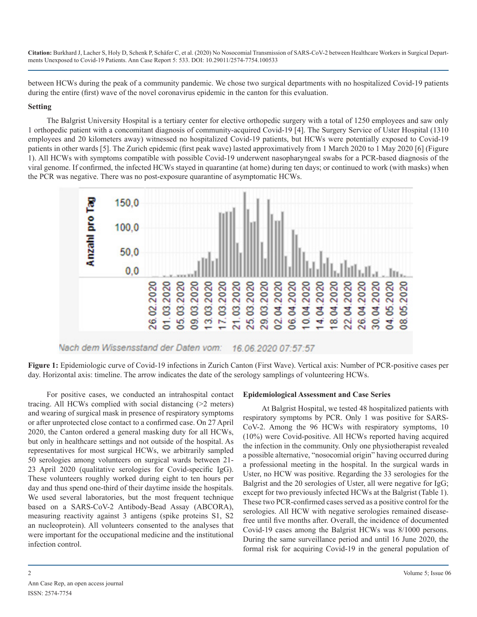**Citation:** Burkhard J, Lacher S, Holy D, Schenk P, Schäfer C, et al. (2020) No Nosocomial Transmission of SARS-CoV-2 between Healthcare Workers in Surgical Departments Unexposed to Covid-19 Patients. Ann Case Report 5: 533. DOI: 10.29011/2574-7754.100533

between HCWs during the peak of a community pandemic. We chose two surgical departments with no hospitalized Covid-19 patients during the entire (first) wave of the novel coronavirus epidemic in the canton for this evaluation.

#### **Setting**

The Balgrist University Hospital is a tertiary center for elective orthopedic surgery with a total of 1250 employees and saw only 1 orthopedic patient with a concomitant diagnosis of community-acquired Covid-19 [4]. The Surgery Service of Uster Hospital (1310 employees and 20 kilometers away) witnessed no hospitalized Covid-19 patients, but HCWs were potentially exposed to Covid-19 patients in other wards [5]. The Zurich epidemic (first peak wave) lasted approximatively from 1 March 2020 to 1 May 2020 [6] (Figure 1). All HCWs with symptoms compatible with possible Covid-19 underwent nasopharyngeal swabs for a PCR-based diagnosis of the viral genome. If confirmed, the infected HCWs stayed in quarantine (at home) during ten days; or continued to work (with masks) when the PCR was negative. There was no post-exposure quarantine of asymptomatic HCWs.



**Figure 1:** Epidemiologic curve of Covid-19 infections in Zurich Canton (First Wave). Vertical axis: Number of PCR-positive cases per day. Horizontal axis: timeline. The arrow indicates the date of the serology samplings of volunteering HCWs.

For positive cases, we conducted an intrahospital contact tracing. All HCWs complied with social distancing (>2 meters) and wearing of surgical mask in presence of respiratory symptoms or after unprotected close contact to a confirmed case. On 27 April 2020, the Canton ordered a general masking duty for all HCWs, but only in healthcare settings and not outside of the hospital. As representatives for most surgical HCWs, we arbitrarily sampled 50 serologies among volunteers on surgical wards between 21- 23 April 2020 (qualitative serologies for Covid-specific IgG). These volunteers roughly worked during eight to ten hours per day and thus spend one-third of their daytime inside the hospitals. We used several laboratories, but the most frequent technique based on a SARS-CoV-2 Antibody-Bead Assay (ABCORA), measuring reactivity against 3 antigens (spike proteins S1, S2 an nucleoprotein). All volunteers consented to the analyses that were important for the occupational medicine and the institutional infection control.

#### **Epidemiological Assessment and Case Series**

At Balgrist Hospital, we tested 48 hospitalized patients with respiratory symptoms by PCR. Only 1 was positive for SARS-CoV-2. Among the 96 HCWs with respiratory symptoms, 10 (10%) were Covid-positive. All HCWs reported having acquired the infection in the community. Only one physiotherapist revealed a possible alternative, "nosocomial origin" having occurred during a professional meeting in the hospital. In the surgical wards in Uster, no HCW was positive. Regarding the 33 serologies for the Balgrist and the 20 serologies of Uster, all were negative for IgG; except for two previously infected HCWs at the Balgrist (Table 1). These two PCR-confirmed cases served as a positive control for the serologies. All HCW with negative serologies remained diseasefree until five months after. Overall, the incidence of documented Covid-19 cases among the Balgrist HCWs was 8/1000 persons. During the same surveillance period and until 16 June 2020, the formal risk for acquiring Covid-19 in the general population of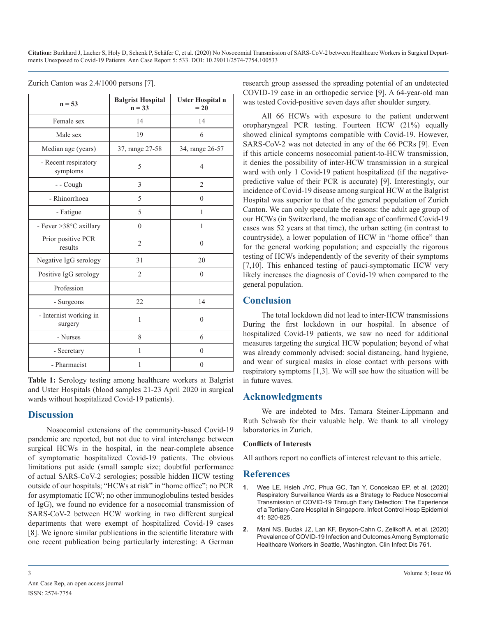**Citation:** Burkhard J, Lacher S, Holy D, Schenk P, Schäfer C, et al. (2020) No Nosocomial Transmission of SARS-CoV-2 between Healthcare Workers in Surgical Departments Unexposed to Covid-19 Patients. Ann Case Report 5: 533. DOI: 10.29011/2574-7754.100533

| $n = 53$                          | <b>Balgrist Hospital</b><br>$n = 33$ | <b>Uster Hospital n</b><br>$= 20$ |
|-----------------------------------|--------------------------------------|-----------------------------------|
| Female sex                        | 14                                   | 14                                |
| Male sex                          | 19                                   | 6                                 |
| Median age (years)                | 37, range 27-58                      | 34, range 26-57                   |
| - Recent respiratory<br>symptoms  | 5                                    | $\overline{4}$                    |
| - - Cough                         | 3                                    | $\overline{c}$                    |
| - Rhinorrhoea                     | 5                                    | $\theta$                          |
| - Fatigue                         | 5                                    | 1                                 |
| - Fever > 38°C axillary           | $\theta$                             | 1                                 |
| Prior positive PCR<br>results     | $\overline{2}$                       | $\theta$                          |
| Negative IgG serology             | 31                                   | 20                                |
| Positive IgG serology             | $\overline{2}$                       | $\theta$                          |
| Profession                        |                                      |                                   |
| - Surgeons                        | 22                                   | 14                                |
| - Internist working in<br>surgery | $\mathbf{1}$                         | $\theta$                          |
| - Nurses                          | 8                                    | 6                                 |
| - Secretary                       | 1                                    | $\theta$                          |
| - Pharmacist                      | 1                                    | $\theta$                          |

Zurich Canton was 2.4/1000 persons [7].

**Table 1:** Serology testing among healthcare workers at Balgrist and Uster Hospitals (blood samples 21-23 April 2020 in surgical wards without hospitalized Covid-19 patients).

# **Discussion**

Nosocomial extensions of the community-based Covid-19 pandemic are reported, but not due to viral interchange between surgical HCWs in the hospital, in the near-complete absence of symptomatic hospitalized Covid-19 patients. The obvious limitations put aside (small sample size; doubtful performance of actual SARS-CoV-2 serologies; possible hidden HCW testing outside of our hospitals; "HCWs at risk" in "home office"; no PCR for asymptomatic HCW; no other immunoglobulins tested besides of IgG), we found no evidence for a nosocomial transmission of SARS-CoV-2 between HCW working in two different surgical departments that were exempt of hospitalized Covid-19 cases [8]. We ignore similar publications in the scientific literature with one recent publication being particularly interesting: A German

research group assessed the spreading potential of an undetected COVID-19 case in an orthopedic service [9]. A 64-year-old man was tested Covid-positive seven days after shoulder surgery.

All 66 HCWs with exposure to the patient underwent oropharyngeal PCR testing. Fourteen HCW (21%) equally showed clinical symptoms compatible with Covid-19. However, SARS-CoV-2 was not detected in any of the 66 PCRs [9]. Even if this article concerns nosocomial patient-to-HCW transmission, it denies the possibility of inter-HCW transmission in a surgical ward with only 1 Covid-19 patient hospitalized (if the negativepredictive value of their PCR is accurate) [9]. Interestingly, our incidence of Covid-19 disease among surgical HCW at the Balgrist Hospital was superior to that of the general population of Zurich Canton. We can only speculate the reasons: the adult age group of our HCWs (in Switzerland, the median age of confirmed Covid-19 cases was 52 years at that time), the urban setting (in contrast to countryside), a lower population of HCW in "home office" than for the general working population; and especially the rigorous testing of HCWs independently of the severity of their symptoms [7,10]. This enhanced testing of pauci-symptomatic HCW very likely increases the diagnosis of Covid-19 when compared to the general population.

# **Conclusion**

The total lockdown did not lead to inter-HCW transmissions During the first lockdown in our hospital. In absence of hospitalized Covid-19 patients, we saw no need for additional measures targeting the surgical HCW population; beyond of what was already commonly advised: social distancing, hand hygiene, and wear of surgical masks in close contact with persons with respiratory symptoms [1,3]. We will see how the situation will be in future waves.

# **Acknowledgments**

We are indebted to Mrs. Tamara Steiner-Lippmann and Ruth Schwab for their valuable help. We thank to all virology laboratories in Zurich.

#### **Conflicts of Interests**

All authors report no conflicts of interest relevant to this article.

# **References**

- **1.** [Wee LE, Hsieh JYC, Phua GC, Tan Y, Conceicao EP, et al. \(2020\)](https://www.ncbi.nlm.nih.gov/pmc/articles/PMC7248590/)  [Respiratory Surveillance Wards as a Strategy to Reduce Nosocomial](https://www.ncbi.nlm.nih.gov/pmc/articles/PMC7248590/)  [Transmission of COVID-19 Through Early Detection: The Experience](https://www.ncbi.nlm.nih.gov/pmc/articles/PMC7248590/)  [of a Tertiary-Care Hospital in Singapore. Infect Control Hosp Epidemiol](https://www.ncbi.nlm.nih.gov/pmc/articles/PMC7248590/)  [41: 820-825.](https://www.ncbi.nlm.nih.gov/pmc/articles/PMC7248590/)
- **2.** [Mani NS, Budak JZ, Lan KF, Bryson-Cahn C, Zelikoff A, et al. \(2020\)](https://academic.oup.com/cid/advance-article/doi/10.1093/cid/ciaa761/5858272)  [Prevalence of COVID-19 Infection and Outcomes Among Symptomatic](https://academic.oup.com/cid/advance-article/doi/10.1093/cid/ciaa761/5858272) [Healthcare Workers in Seattle, Washington. Clin Infect Dis 761.](https://academic.oup.com/cid/advance-article/doi/10.1093/cid/ciaa761/5858272)